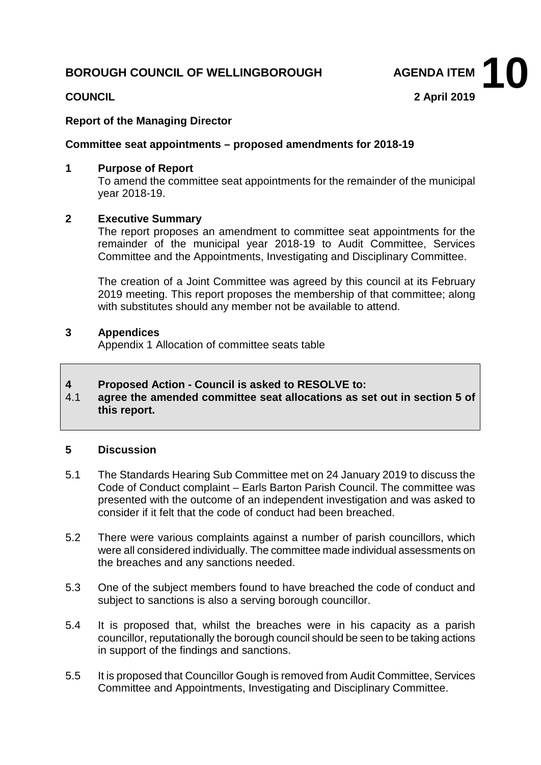### **BOROUGH COUNCIL OF WELLINGBOROUGH AGENDA ITEM**

**COUNCIL 2 April 2019 10**

## **Report of the Managing Director**

#### **Committee seat appointments – proposed amendments for 2018-19**

#### **1 Purpose of Report**

To amend the committee seat appointments for the remainder of the municipal year 2018-19.

#### **2 Executive Summary**

The report proposes an amendment to committee seat appointments for the remainder of the municipal year 2018-19 to Audit Committee, Services Committee and the Appointments, Investigating and Disciplinary Committee.

The creation of a Joint Committee was agreed by this council at its February 2019 meeting. This report proposes the membership of that committee; along with substitutes should any member not be available to attend.

#### **3 Appendices**

Appendix 1 Allocation of committee seats table

# **4 Proposed Action - Council is asked to RESOLVE to:**

4.1 **agree the amended committee seat allocations as set out in section 5 of this report.**

#### **5 Discussion**

- 5.1 The Standards Hearing Sub Committee met on 24 January 2019 to discuss the Code of Conduct complaint – Earls Barton Parish Council. The committee was presented with the outcome of an independent investigation and was asked to consider if it felt that the code of conduct had been breached.
- 5.2 There were various complaints against a number of parish councillors, which were all considered individually. The committee made individual assessments on the breaches and any sanctions needed.
- 5.3 One of the subject members found to have breached the code of conduct and subject to sanctions is also a serving borough councillor.
- 5.4 It is proposed that, whilst the breaches were in his capacity as a parish councillor, reputationally the borough council should be seen to be taking actions in support of the findings and sanctions.
- 5.5 It is proposed that Councillor Gough is removed from Audit Committee, Services Committee and Appointments, Investigating and Disciplinary Committee.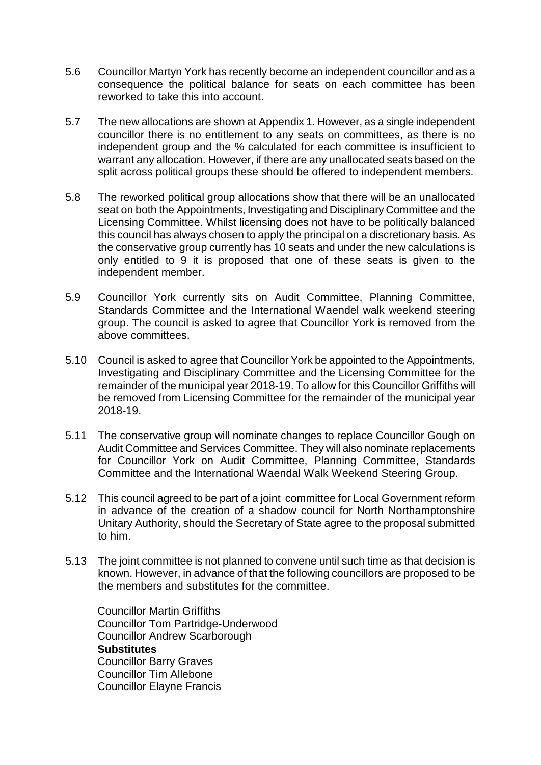- 5.6 Councillor Martyn York has recently become an independent councillor and as a consequence the political balance for seats on each committee has been reworked to take this into account.
- 5.7 The new allocations are shown at Appendix 1. However, as a single independent councillor there is no entitlement to any seats on committees, as there is no independent group and the % calculated for each committee is insufficient to warrant any allocation. However, if there are any unallocated seats based on the split across political groups these should be offered to independent members.
- 5.8 The reworked political group allocations show that there will be an unallocated seat on both the Appointments, Investigating and Disciplinary Committee and the Licensing Committee. Whilst licensing does not have to be politically balanced this council has always chosen to apply the principal on a discretionary basis. As the conservative group currently has 10 seats and under the new calculations is only entitled to 9 it is proposed that one of these seats is given to the independent member.
- 5.9 Councillor York currently sits on Audit Committee, Planning Committee, Standards Committee and the International Waendel walk weekend steering group. The council is asked to agree that Councillor York is removed from the above committees.
- 5.10 Council is asked to agree that Councillor York be appointed to the Appointments, Investigating and Disciplinary Committee and the Licensing Committee for the remainder of the municipal year 2018-19. To allow for this Councillor Griffiths will be removed from Licensing Committee for the remainder of the municipal year 2018-19.
- 5.11 The conservative group will nominate changes to replace Councillor Gough on Audit Committee and Services Committee. They will also nominate replacements for Councillor York on Audit Committee, Planning Committee, Standards Committee and the International Waendal Walk Weekend Steering Group.
- 5.12 This council agreed to be part of a joint committee for Local Government reform in advance of the creation of a shadow council for North Northamptonshire Unitary Authority, should the Secretary of State agree to the proposal submitted to him.
- 5.13 The joint committee is not planned to convene until such time as that decision is known. However, in advance of that the following councillors are proposed to be the members and substitutes for the committee.

Councillor Martin Griffiths Councillor Tom Partridge-Underwood Councillor Andrew Scarborough **Substitutes** Councillor Barry Graves Councillor Tim Allebone Councillor Elayne Francis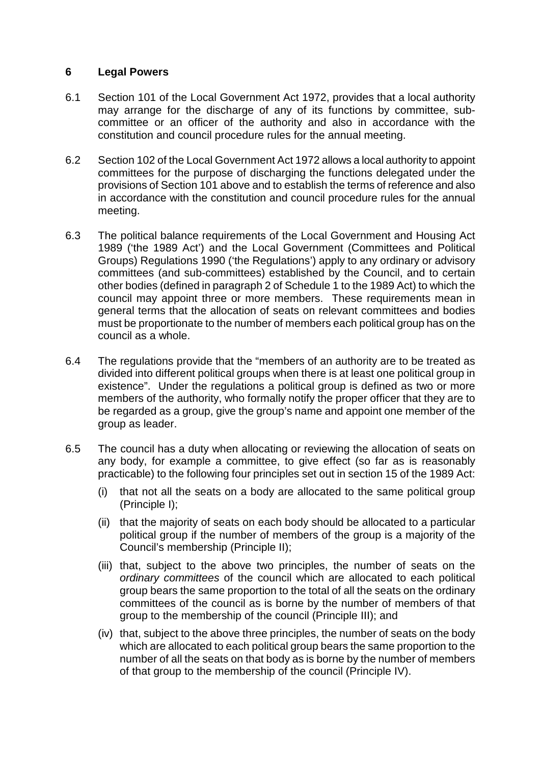#### **6 Legal Powers**

- 6.1 Section 101 of the Local Government Act 1972, provides that a local authority may arrange for the discharge of any of its functions by committee, subcommittee or an officer of the authority and also in accordance with the constitution and council procedure rules for the annual meeting.
- 6.2 Section 102 of the Local Government Act 1972 allows a local authority to appoint committees for the purpose of discharging the functions delegated under the provisions of Section 101 above and to establish the terms of reference and also in accordance with the constitution and council procedure rules for the annual meeting.
- 6.3 The political balance requirements of the Local Government and Housing Act 1989 ('the 1989 Act') and the Local Government (Committees and Political Groups) Regulations 1990 ('the Regulations') apply to any ordinary or advisory committees (and sub-committees) established by the Council, and to certain other bodies (defined in paragraph 2 of Schedule 1 to the 1989 Act) to which the council may appoint three or more members. These requirements mean in general terms that the allocation of seats on relevant committees and bodies must be proportionate to the number of members each political group has on the council as a whole.
- 6.4 The regulations provide that the "members of an authority are to be treated as divided into different political groups when there is at least one political group in existence". Under the regulations a political group is defined as two or more members of the authority, who formally notify the proper officer that they are to be regarded as a group, give the group's name and appoint one member of the group as leader.
- 6.5 The council has a duty when allocating or reviewing the allocation of seats on any body, for example a committee, to give effect (so far as is reasonably practicable) to the following four principles set out in section 15 of the 1989 Act:
	- (i) that not all the seats on a body are allocated to the same political group (Principle I);
	- (ii) that the majority of seats on each body should be allocated to a particular political group if the number of members of the group is a majority of the Council's membership (Principle II);
	- (iii) that, subject to the above two principles, the number of seats on the *ordinary committees* of the council which are allocated to each political group bears the same proportion to the total of all the seats on the ordinary committees of the council as is borne by the number of members of that group to the membership of the council (Principle III); and
	- (iv) that, subject to the above three principles, the number of seats on the body which are allocated to each political group bears the same proportion to the number of all the seats on that body as is borne by the number of members of that group to the membership of the council (Principle IV).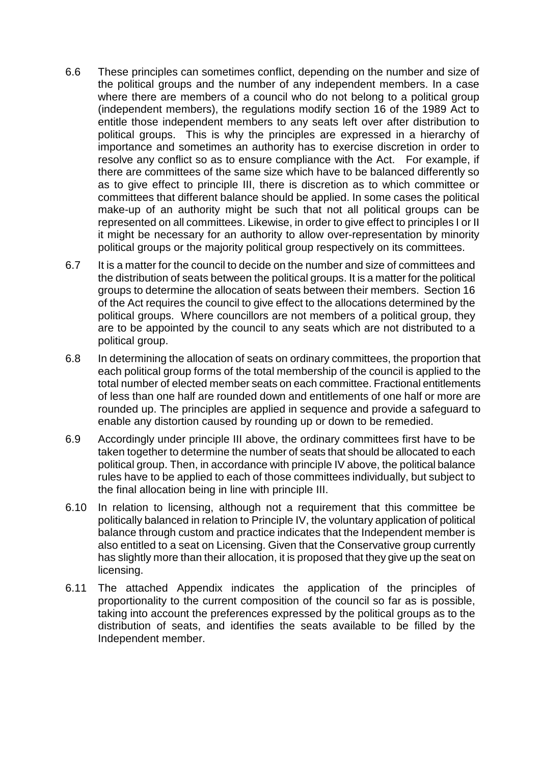- 6.6 These principles can sometimes conflict, depending on the number and size of the political groups and the number of any independent members. In a case where there are members of a council who do not belong to a political group (independent members), the regulations modify section 16 of the 1989 Act to entitle those independent members to any seats left over after distribution to political groups. This is why the principles are expressed in a hierarchy of importance and sometimes an authority has to exercise discretion in order to resolve any conflict so as to ensure compliance with the Act. For example, if there are committees of the same size which have to be balanced differently so as to give effect to principle III, there is discretion as to which committee or committees that different balance should be applied. In some cases the political make-up of an authority might be such that not all political groups can be represented on all committees. Likewise, in order to give effect to principles I or II it might be necessary for an authority to allow over-representation by minority political groups or the majority political group respectively on its committees.
- 6.7 It is a matter for the council to decide on the number and size of committees and the distribution of seats between the political groups. It is a matter for the political groups to determine the allocation of seats between their members. Section 16 of the Act requires the council to give effect to the allocations determined by the political groups. Where councillors are not members of a political group, they are to be appointed by the council to any seats which are not distributed to a political group.
- 6.8 In determining the allocation of seats on ordinary committees, the proportion that each political group forms of the total membership of the council is applied to the total number of elected member seats on each committee. Fractional entitlements of less than one half are rounded down and entitlements of one half or more are rounded up. The principles are applied in sequence and provide a safeguard to enable any distortion caused by rounding up or down to be remedied.
- 6.9 Accordingly under principle III above, the ordinary committees first have to be taken together to determine the number of seats that should be allocated to each political group. Then, in accordance with principle IV above, the political balance rules have to be applied to each of those committees individually, but subject to the final allocation being in line with principle III.
- 6.10 In relation to licensing, although not a requirement that this committee be politically balanced in relation to Principle IV, the voluntary application of political balance through custom and practice indicates that the Independent member is also entitled to a seat on Licensing. Given that the Conservative group currently has slightly more than their allocation, it is proposed that they give up the seat on licensing.
- 6.11 The attached Appendix indicates the application of the principles of proportionality to the current composition of the council so far as is possible, taking into account the preferences expressed by the political groups as to the distribution of seats, and identifies the seats available to be filled by the Independent member.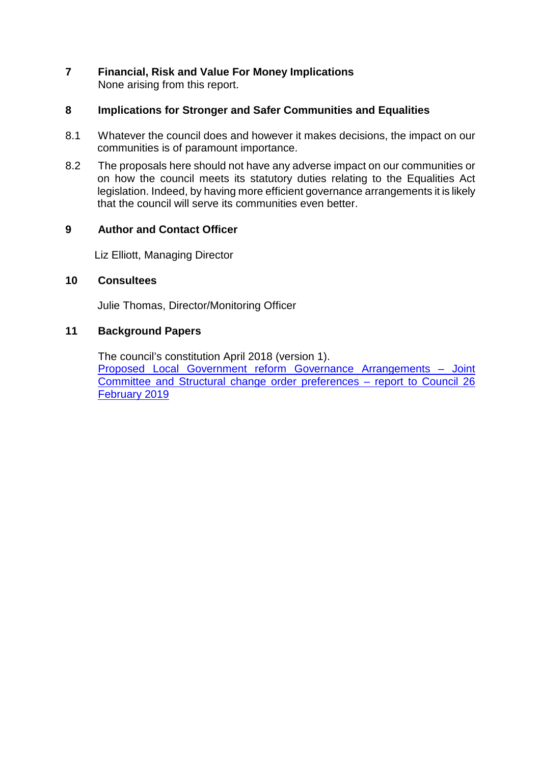#### **7 Financial, Risk and Value For Money Implications** None arising from this report.

#### **8 Implications for Stronger and Safer Communities and Equalities**

- 8.1 Whatever the council does and however it makes decisions, the impact on our communities is of paramount importance.
- 8.2 The proposals here should not have any adverse impact on our communities or on how the council meets its statutory duties relating to the Equalities Act legislation. Indeed, by having more efficient governance arrangements it is likely that the council will serve its communities even better.

#### **9 Author and Contact Officer**

Liz Elliott, Managing Director

#### **10 Consultees**

Julie Thomas, Director/Monitoring Officer

#### **11 Background Papers**

The council's constitution April 2018 (version 1). [Proposed Local Government reform Governance Arrangements –](http://www.wellingborough.gov.uk/meetings/meeting/1092/council) Joint [Committee and Structural change order preferences –](http://www.wellingborough.gov.uk/meetings/meeting/1092/council) report to Council 26 [February 2019](http://www.wellingborough.gov.uk/meetings/meeting/1092/council)